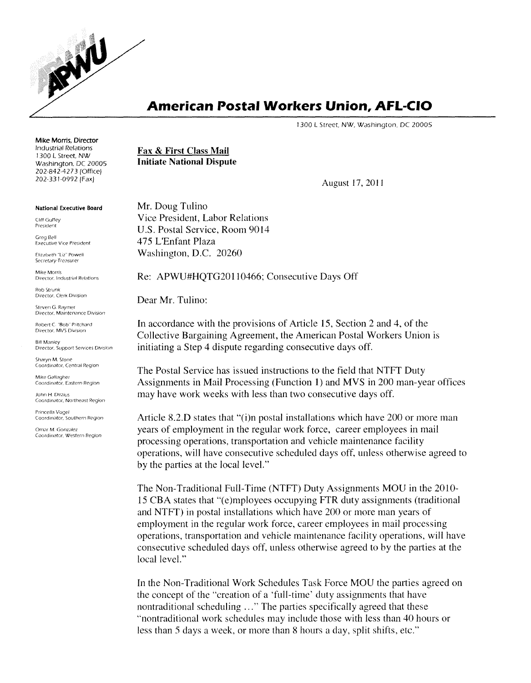

## **American Postal Workers Union, AFL-CIO**

J300 L Street, NW, Washington, DC 20005

Mike Morris, Director Industrial Relations J300 L Street, NW Washington, DC 20005 202-842-4273 (Office) 202-331-0992 (Fax)

## National Executive Board

Cliff Guffey President

Greg Bell Executive Vice President

Elizabeth "Liz" Powell Secretary-Treasurer

Mike Morris Director, Industrial Relations

Rob Strunk Director, Clerk DiVision

Steven G. Raymer Director, Maintenance DiVision

Robert C "Bob" Pritchard Director, MVS DiVision

Bill Manley Director, Support Services Division

Sharyn M. Stone Coordinator. Central *Region*

Mike Gallagher Coordinator, Eastern Region

John H. Dirzius Coordinator, Northeast Region

Princella Vogel Coordinator. Southern Region

Omar M. Gonzalez Coordinator, Western Region Fax & First Class Mail Initiate National Dispute

August 17, 2011

Mr. Doug Tulino Vice President, Labor Relations U.S. Postal Service, Room 9014 475 L'Enfant Plaza Washington, D.C. 20260

Re: APWU#HQTG20110466; Consecutive Days Off

Dear Mr. Tulino:

In accordance with the provisions of Article 15, Section 2 and 4, of the Collective Bargaining Agreement, the American Postal Workers Union is initiating a Step 4 dispute regarding consecutive days off.

The Postal Service has issued instructions to the field that NTFT Duty Assignments in Mail Processing (Function 1) and MVS in 200 man-year offices may have work weeks with less than two consecutive days off.

Article 8.2.D states that "(i)n postal installations which have 200 or more man years of employment in the regular work force, career employees in mail processing operations, transportation and vehicle maintenance facility operations, will have consecutive scheduled days off, unless otherwise agreed to by the parties at the local level."

The Non-Traditional Full-Time (NTFT) Duty Assignments MOU in the 2010- 15 CBA states that "(e)mployees occupying FTR duty assignments (traditional and NTFT) in postal installations which have 200 or more man years of employment in the regular work force, career employees in mail processing operations, transportation and vehicle maintenance facility operations, will have consecutive scheduled days off, unless otherwise agreed to by the parties at the local level."

In the Non-Traditional Work Schedules Task Force MOU the parties agreed on the concept of the "creation of a 'full-time' duty assignments that have nontraditional scheduling ... " The parties specifically agreed that these "nontraditional work schedules may include those with less than 40 hours or less than 5 days a week, or more than 8 hours a day, split shifts, etc."